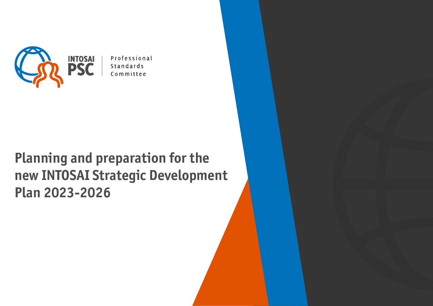

Professional Standards Committee

# **Planning and preparation for the new INTOSAI Strategic Development Plan 2023-2026**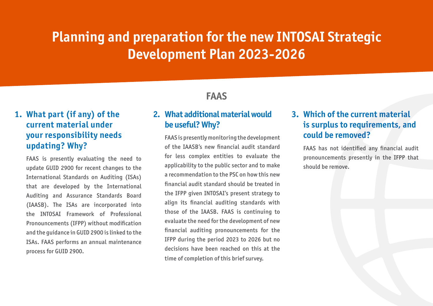### **1. What part (if any) of the current material under your responsibility needs updating? Why?**

FAAS is presently evaluating the need to update GUID 2900 for recent changes to the International Standards on Auditing (ISAs) that are developed by the International Auditing and Assurance Standards Board (IAASB). The ISAs are incorporated into the INTOSAI Framework of Professional Pronouncements (IFPP) without modification and the guidance in GUID 2900 is linked to the ISAs. FAAS performs an annual maintenance process for GUID 2900.

### **FAAS**

#### **2. What additional material would be useful? Why?**

FAAS is presently monitoring the development of the IAASB's new financial audit standard for less complex entities to evaluate the applicability to the public sector and to make a recommendation to the PSC on how this new financial audit standard should be treated in the IFPP given INTOSAI's present strategy to align its financial auditing standards with those of the IAASB. FAAS is continuing to evaluate the need for the development of new financial auditing pronouncements for the IFPP during the period 2023 to 2026 but no decisions have been reached on this at the time of completion of this brief survey.

#### **3. Which of the current material is surplus to requirements, and could be removed?**

FAAS has not identified any financial audit pronouncements presently in the IFPP that should be remove.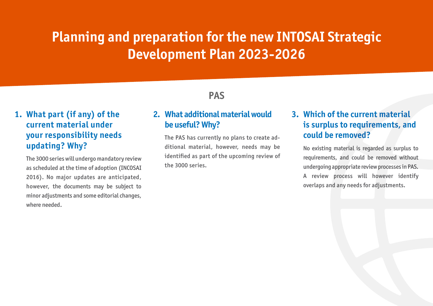### **1. What part (if any) of the current material under your responsibility needs updating? Why?**

The 3000 series will undergo mandatory review as scheduled at the time of adoption (INCOSAI 2016). No major updates are anticipated, however, the documents may be subject to minor adjustments and some editorial changes, where needed.

### **PAS**

#### **2. What additional material would be useful? Why?**

The PAS has currently no plans to create additional material, however, needs may be identified as part of the upcoming review of the 3000 series.

### **3. Which of the current material is surplus to requirements, and could be removed?**

No existing material is regarded as surplus to requirements, and could be removed without undergoing appropriate review processes in PAS. A review process will however identify overlaps and any needs for adjustments.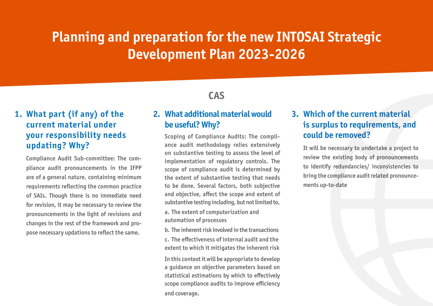### **1. What part (if any) of the current material under your responsibility needs updating? Why?**

Compliance Audit Sub-committee: The compliance audit pronouncements in the IFPP are of a general nature, containing minimum requirements reflecting the common practice of SAIs. Though there is no immediate need for revision, it may be necessary to review the pronouncements in the light of revisions and changes in the rest of the framework and propose necessary updations to reflect the same.

## **CAS**

#### **2. What additional material would be useful? Why?**

Scoping of Compliance Audits: The compliance audit methodology relies extensively on substantive testing to assess the level of implementation of regulatory controls. The scope of compliance audit is determined by the extent of substantive testing that needs to be done. Several factors, both subjective and objective, affect the scope and extent of substantive testing including, but not limited to,

a. The extent of computerization and automation of processes

b. The inherent risk involved in the transactions c. The effectiveness of internal audit and the extent to which it mitigates the inherent risk

In this context it will be appropriate to develop a guidance on objective parameters based on statistical estimations by which to effectively scope compliance audits to improve efficiency and coverage.

#### **3. Which of the current material is surplus to requirements, and could be removed?**

It will be necessary to undertake a project to review the existing body of pronouncements to identify redundancies/ inconsistencies to bring the compliance audit related pronouncements up-to-date